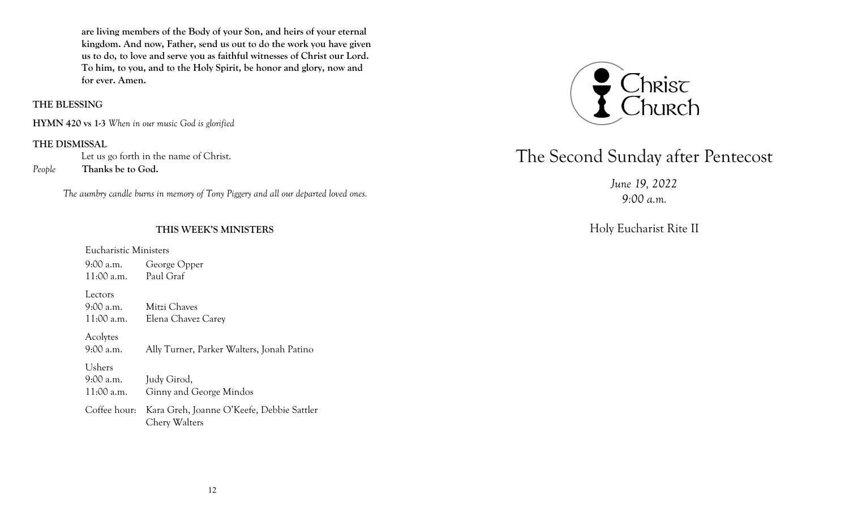**are living members of the Body of your Son, and heirs of your eternal kingdom. And now, Father, send us out to do the work you have given us to do, to love and serve you as faithful witnesses of Christ our Lord. To him, to you, and to the Holy Spirit, be honor and glory, now and for ever. Amen.**

#### **THE BLESSING**

**HYMN 420 vs 1-3** *When in our music God is glorified*

#### **THE DISMISSAL**

Let us go forth in the name of Christ.

*People* **Thanks be to God.**

*The aumbry candle burns in memory of Tony Piggery and all our departed loved ones.*

#### **THIS WEEK'S MINISTERS**

| Eucharistic Ministers |                                      |                                                            |
|-----------------------|--------------------------------------|------------------------------------------------------------|
|                       | $9:00$ a.m.                          | George Opper                                               |
|                       | 11:00 a.m.                           | Paul Graf                                                  |
|                       | Lectors<br>$9:00$ a.m.<br>11:00 a.m. | Mitzi Chaves<br>Elena Chavez Carey                         |
|                       | Acolytes<br>$9:00$ a.m.              | Ally Turner, Parker Walters, Jonah Patino                  |
|                       | Ushers<br>9:00 a.m.<br>11:00 a.m.    | Judy Girod,<br>Ginny and George Mindos                     |
|                       | Coffee hour:                         | Kara Greh, Joanne O'Keefe, Debbie Sattler<br>Chery Walters |



# The Second Sunday after Pentecost

*June 19, 2022 9:00 a.m.*

Holy Eucharist Rite II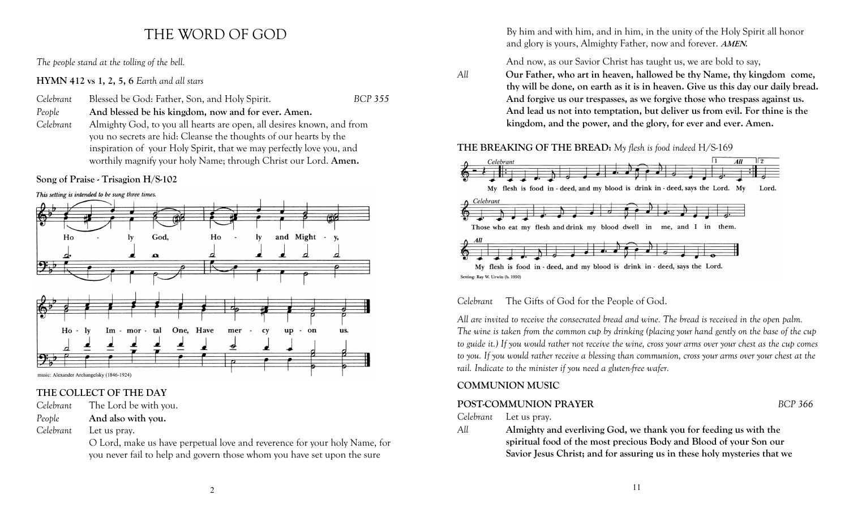## THE WORD OF GOD

*The people stand at the tolling of the bell.*

#### **HYMN 412 vs 1, 2, 5, 6** *Earth and all stars*

*Celebrant* Blessed be God: Father, Son, and Holy Spirit. *BCP 355 People* **And blessed be his kingdom, now and for ever. Amen.** *Celebrant* Almighty God, to you all hearts are open, all desires known, and from you no secrets are hid: Cleanse the thoughts of our hearts by the inspiration of your Holy Spirit, that we may perfectly love you, and worthily magnify your holy Name; through Christ our Lord. **Amen.**

#### **Song of Praise - Trisagion H/S-102**

This setting is intended to be sung three times.



#### **THE COLLECT OF THE DAY**

*Celebrant* The Lord be with you.

*People* **And also with you.**

*Celebrant* Let us pray.

O Lord, make us have perpetual love and reverence for your holy Name, for you never fail to help and govern those whom you have set upon the sure

By him and with him, and in him, in the unity of the Holy Spirit all honor and glory is yours, Almighty Father, now and forever. **AMEN.**

#### And now, as our Savior Christ has taught us, we are bold to say,

*All* **Our Father, who art in heaven, hallowed be thy Name, thy kingdom come, thy will be done, on earth as it is in heaven. Give us this day our daily bread. And forgive us our trespasses, as we forgive those who trespass against us. And lead us not into temptation, but deliver us from evil. For thine is the kingdom, and the power, and the glory, for ever and ever. Amen.**

#### **THE BREAKING OF THE BREAD:** *My flesh is food indeed* H/S-169



### *Celebrant* The Gifts of God for the People of God.

*All are invited to receive the consecrated bread and wine. The bread is received in the open palm. The wine is taken from the common cup by drinking (placing your hand gently on the base of the cup to guide it.) If you would rather not receive the wine, cross your arms over your chest as the cup comes to you. If you would rather receive a blessing than communion, cross your arms over your chest at the rail. Indicate to the minister if you need a gluten-free wafer.*

#### **COMMUNION MUSIC**

#### **POST-COMMUNION PRAYER** *BCP 366*

*Celebrant* Let us pray.

*All* **Almighty and everliving God, we thank you for feeding us with the spiritual food of the most precious Body and Blood of your Son our Savior Jesus Christ; and for assuring us in these holy mysteries that we**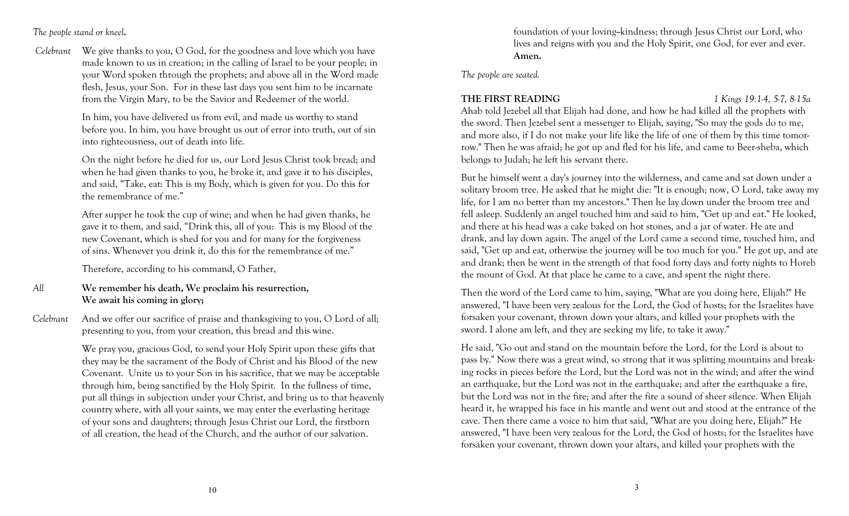*The people stand or kneel***.**

*Celebrant* We give thanks to you, O God, for the goodness and love which you have made known to us in creation; in the calling of Israel to be your people; in your Word spoken through the prophets; and above all in the Word made flesh, Jesus, your Son. For in these last days you sent him to be incarnate from the Virgin Mary, to be the Savior and Redeemer of the world.

> In him, you have delivered us from evil, and made us worthy to stand before you. In him, you have brought us out of error into truth, out of sin into righteousness, out of death into life.

> On the night before he died for us, our Lord Jesus Christ took bread; and when he had given thanks to you, he broke it, and gave it to his disciples, and said, "Take, eat: This is my Body, which is given for you. Do this for the remembrance of me."

After supper he took the cup of wine; and when he had given thanks, he gave it to them, and said, "Drink this, all of you: This is my Blood of the new Covenant, which is shed for you and for many for the forgiveness of sins. Whenever you drink it, do this for the remembrance of me."

Therefore, according to his command, O Father,

#### *All* **We remember his death, We proclaim his resurrection, We await his coming in glory;**

*Celebrant* And we offer our sacrifice of praise and thanksgiving to you, O Lord of all; presenting to you, from your creation, this bread and this wine.

> We pray you, gracious God, to send your Holy Spirit upon these gifts that they may be the sacrament of the Body of Christ and his Blood of the new Covenant. Unite us to your Son in his sacrifice, that we may be acceptable through him, being sanctified by the Holy Spirit. In the fullness of time, put all things in subjection under your Christ, and bring us to that heavenly country where, with all your saints, we may enter the everlasting heritage of your sons and daughters; through Jesus Christ our Lord, the firstborn of all creation, the head of the Church, and the author of our salvation.

foundation of your loving--kindness; through Jesus Christ our Lord, who lives and reigns with you and the Holy Spirit, one God, for ever and ever. **Amen.**

*The people are seated.*

#### **THE FIRST READING** *1 Kings 19:1-4, 5-7, 8-15a*

Ahab told Jezebel all that Elijah had done, and how he had killed all the prophets with the sword. Then Jezebel sent a messenger to Elijah, saying, "So may the gods do to me, and more also, if I do not make your life like the life of one of them by this time tomorrow." Then he was afraid; he got up and fled for his life, and came to Beer-sheba, which belongs to Judah; he left his servant there.

But he himself went a day's journey into the wilderness, and came and sat down under a solitary broom tree. He asked that he might die: "It is enough; now, O Lord, take away my life, for I am no better than my ancestors." Then he lay down under the broom tree and fell asleep. Suddenly an angel touched him and said to him, "Get up and eat." He looked, and there at his head was a cake baked on hot stones, and a jar of water. He ate and drank, and lay down again. The angel of the Lord came a second time, touched him, and said, "Get up and eat, otherwise the journey will be too much for you." He got up, and ate and drank; then he went in the strength of that food forty days and forty nights to Horeb the mount of God. At that place he came to a cave, and spent the night there.

Then the word of the Lord came to him, saying, "What are you doing here, Elijah?" He answered, "I have been very zealous for the Lord, the God of hosts; for the Israelites have forsaken your covenant, thrown down your altars, and killed your prophets with the sword. I alone am left, and they are seeking my life, to take it away."

He said, "Go out and stand on the mountain before the Lord, for the Lord is about to pass by." Now there was a great wind, so strong that it was splitting mountains and breaking rocks in pieces before the Lord, but the Lord was not in the wind; and after the wind an earthquake, but the Lord was not in the earthquake; and after the earthquake a fire, but the Lord was not in the fire; and after the fire a sound of sheer silence. When Elijah heard it, he wrapped his face in his mantle and went out and stood at the entrance of the cave. Then there came a voice to him that said, "What are you doing here, Elijah?" He answered, "I have been very zealous for the Lord, the God of hosts; for the Israelites have forsaken your covenant, thrown down your altars, and killed your prophets with the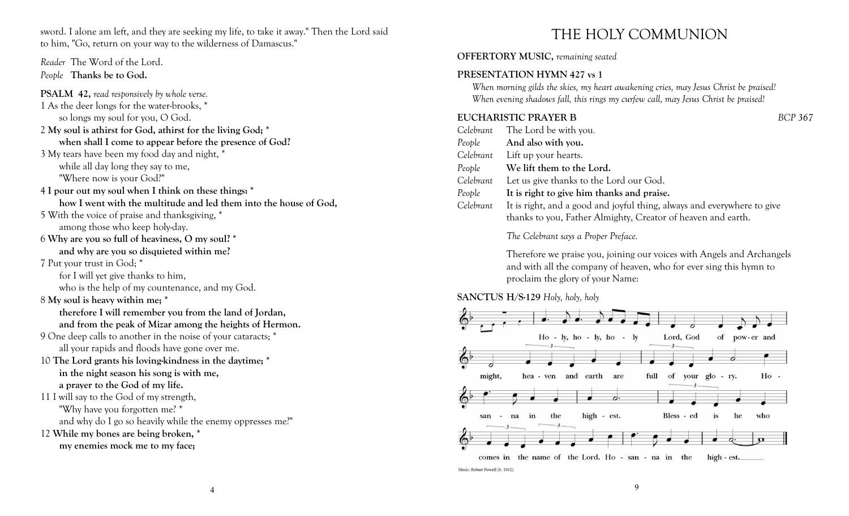sword. I alone am left, and they are seeking my life, to take it away." Then the Lord said to him, "Go, return on your way to the wilderness of Damascus."

*Reader* The Word of the Lord. *People* **Thanks be to God.**

**PSALM 42,** *read responsively by whole verse.* 1 As the deer longs for the water-brooks, \* so longs my soul for you, O God.

2 **My soul is athirst for God, athirst for the living God; \* when shall I come to appear before the presence of God?** 3 My tears have been my food day and night, \*

while all day long they say to me, "Where now is your God?"

4 **I pour out my soul when I think on these things: \* how I went with the multitude and led them into the house of God,**

5 With the voice of praise and thanksgiving, \* among those who keep holy-day.

6 **Why are you so full of heaviness, O my soul? \* and why are you so disquieted within me?**

7 Put your trust in God; \*

for I will yet give thanks to him, who is the help of my countenance, and my God.

8 **My soul is heavy within me; \* therefore I will remember you from the land of Jordan, and from the peak of Mizar among the heights of Hermon.** 9 One deep calls to another in the noise of your cataracts; \*

all your rapids and floods have gone over me.

10 **The Lord grants his loving-kindness in the daytime; \* in the night season his song is with me, a prayer to the God of my life.**

11 I will say to the God of my strength, "Why have you forgotten me? \* and why do I go so heavily while the enemy oppresses me?" 12 **While my bones are being broken, \***

**my enemies mock me to my face;**

## THE HOLY COMMUNION

#### **OFFERTORY MUSIC,** *remaining seated*

#### **PRESENTATION HYMN 427 vs 1**

*When morning gilds the skies, my heart awakening cries, may Jesus Christ be praised! When evening shadows fall, this rings my curfew call, may Jesus Christ be praised!*

#### **EUCHARISTIC PRAYER B** *BCP 367*

|           | Celebrant The Lord be with you.                                         |
|-----------|-------------------------------------------------------------------------|
| People    | And also with you.                                                      |
| Celebrant | Lift up your hearts.                                                    |
| People    | We lift them to the Lord.                                               |
| Celebrant | Let us give thanks to the Lord our God.                                 |
| People    | It is right to give him thanks and praise.                              |
| Celebrant | It is right, and a good and joyful thing, always and everywhere to give |
|           | thanks to you, Father Almighty, Creator of heaven and earth.            |
|           |                                                                         |

#### *The Celebrant says a Proper Preface.*

Therefore we praise you, joining our voices with Angels and Archangels and with all the company of heaven, who for ever sing this hymn to proclaim the glory of your Name:

#### **SANCTUS H/S-129** *Holy, holy, holy*



4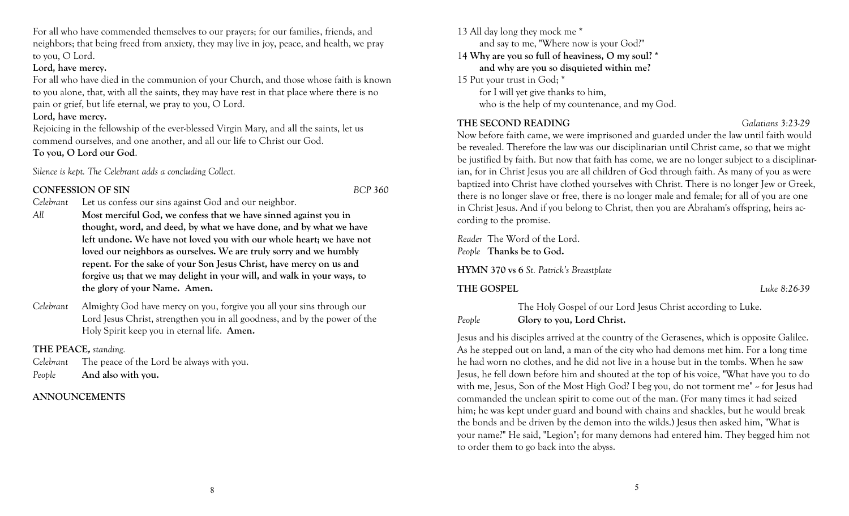For all who have commended themselves to our prayers; for our families, friends, and neighbors; that being freed from anxiety, they may live in joy, peace, and health, we pray to you, O Lord.

#### **Lord, have mercy.**

For all who have died in the communion of your Church, and those whose faith is known to you alone, that, with all the saints, they may have rest in that place where there is no pain or grief, but life eternal, we pray to you, O Lord.

#### **Lord, have mercy.**

Rejoicing in the fellowship of the ever-blessed Virgin Mary, and all the saints, let us commend ourselves, and one another, and all our life to Christ our God. **To you, O Lord our God**.

*Silence is kept. The Celebrant adds a concluding Collect.*

#### **CONFESSION OF SIN** BCP 360

*Celebrant* Let us confess our sins against God and our neighbor.

- *All* **Most merciful God, we confess that we have sinned against you in thought, word, and deed, by what we have done, and by what we have left undone. We have not loved you with our whole heart; we have not loved our neighbors as ourselves. We are truly sorry and we humbly repent. For the sake of your Son Jesus Christ, have mercy on us and forgive us; that we may delight in your will, and walk in your ways, to the glory of your Name. Amen.**
- *Celebrant* Almighty God have mercy on you, forgive you all your sins through our Lord Jesus Christ, strengthen you in all goodness, and by the power of the Holy Spirit keep you in eternal life. **Amen.**

**THE PEACE,** *standing.*

*Celebrant* The peace of the Lord be always with you.

*People* **And also with you.**

#### **ANNOUNCEMENTS**

13 All day long they mock me \*

and say to me, "Where now is your God?"

14 **Why are you so full of heaviness, O my soul? \* and why are you so disquieted within me?**

15 Put your trust in God; \* for I will yet give thanks to him, who is the help of my countenance, and my God.

#### **THE SECOND READING** *Galatians 3:23-29*

Now before faith came, we were imprisoned and guarded under the law until faith would be revealed. Therefore the law was our disciplinarian until Christ came, so that we might be justified by faith. But now that faith has come, we are no longer subject to a disciplinarian, for in Christ Jesus you are all children of God through faith. As many of you as were baptized into Christ have clothed yourselves with Christ. There is no longer Jew or Greek, there is no longer slave or free, there is no longer male and female; for all of you are one in Christ Jesus. And if you belong to Christ, then you are Abraham's offspring, heirs according to the promise.

*Reader* The Word of the Lord. *People* **Thanks be to God.**

**HYMN 370 vs 6** *St. Patrick's Breastplate*

**THE GOSPEL** *Luke 8:26-39*

The Holy Gospel of our Lord Jesus Christ according to Luke.

#### *People* **Glory to you, Lord Christ.**

Jesus and his disciples arrived at the country of the Gerasenes, which is opposite Galilee. As he stepped out on land, a man of the city who had demons met him. For a long time he had worn no clothes, and he did not live in a house but in the tombs. When he saw Jesus, he fell down before him and shouted at the top of his voice, "What have you to do with me, Jesus, Son of the Most High God? I beg you, do not torment me" -- for Jesus had commanded the unclean spirit to come out of the man. (For many times it had seized him; he was kept under guard and bound with chains and shackles, but he would break the bonds and be driven by the demon into the wilds.) Jesus then asked him, "What is your name?" He said, "Legion"; for many demons had entered him. They begged him not to order them to go back into the abyss.